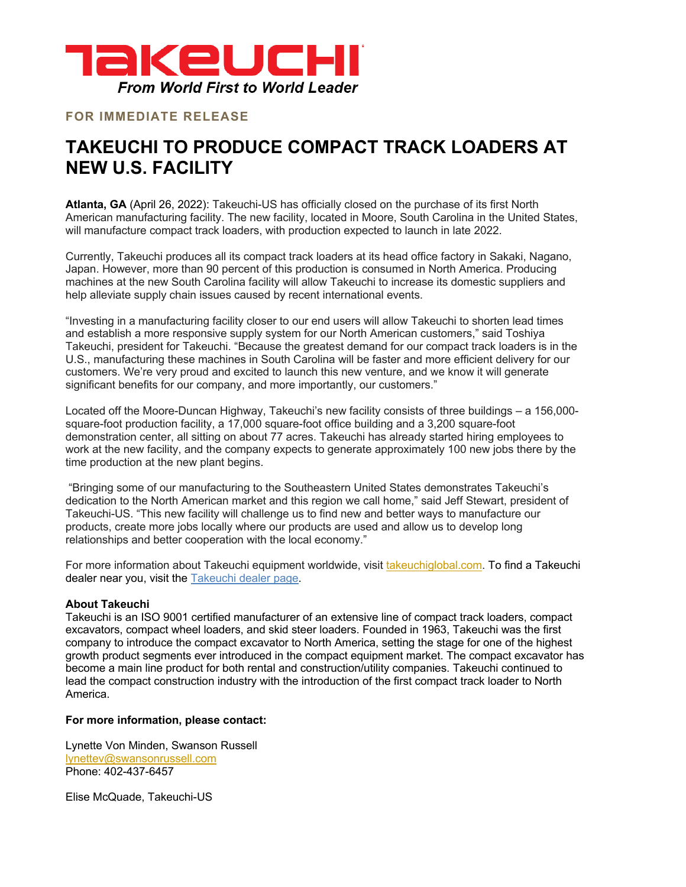

## **FOR IMMEDIATE RELEASE**

## **TAKEUCHI TO PRODUCE COMPACT TRACK LOADERS AT NEW U.S. FACILITY**

**Atlanta, GA** (April 26, 2022): Takeuchi-US has officially closed on the purchase of its first North American manufacturing facility. The new facility, located in Moore, South Carolina in the United States, will manufacture compact track loaders, with production expected to launch in late 2022.

Currently, Takeuchi produces all its compact track loaders at its head office factory in Sakaki, Nagano, Japan. However, more than 90 percent of this production is consumed in North America. Producing machines at the new South Carolina facility will allow Takeuchi to increase its domestic suppliers and help alleviate supply chain issues caused by recent international events.

"Investing in a manufacturing facility closer to our end users will allow Takeuchi to shorten lead times and establish a more responsive supply system for our North American customers," said Toshiya Takeuchi, president for Takeuchi. "Because the greatest demand for our compact track loaders is in the U.S., manufacturing these machines in South Carolina will be faster and more efficient delivery for our customers. We're very proud and excited to launch this new venture, and we know it will generate significant benefits for our company, and more importantly, our customers."

Located off the Moore-Duncan Highway, Takeuchi's new facility consists of three buildings – a 156,000 square-foot production facility, a 17,000 square-foot office building and a 3,200 square-foot demonstration center, all sitting on about 77 acres. Takeuchi has already started hiring employees to work at the new facility, and the company expects to generate approximately 100 new jobs there by the time production at the new plant begins.

"Bringing some of our manufacturing to the Southeastern United States demonstrates Takeuchi's dedication to the North American market and this region we call home," said Jeff Stewart, president of Takeuchi-US. "This new facility will challenge us to find new and better ways to manufacture our products, create more jobs locally where our products are used and allow us to develop long relationships and better cooperation with the local economy."

For more information about Takeuchi equipment worldwide, visit takeuchiglobal.com. To find a Takeuchi dealer near you, visit the Takeuchi dealer page.

## **About Takeuchi**

Takeuchi is an ISO 9001 certified manufacturer of an extensive line of compact track loaders, compact excavators, compact wheel loaders, and skid steer loaders. Founded in 1963, Takeuchi was the first company to introduce the compact excavator to North America, setting the stage for one of the highest growth product segments ever introduced in the compact equipment market. The compact excavator has become a main line product for both rental and construction/utility companies. Takeuchi continued to lead the compact construction industry with the introduction of the first compact track loader to North America.

## **For more information, please contact:**

Lynette Von Minden, Swanson Russell lynettev@swansonrussell.com Phone: 402-437-6457

Elise McQuade, Takeuchi-US